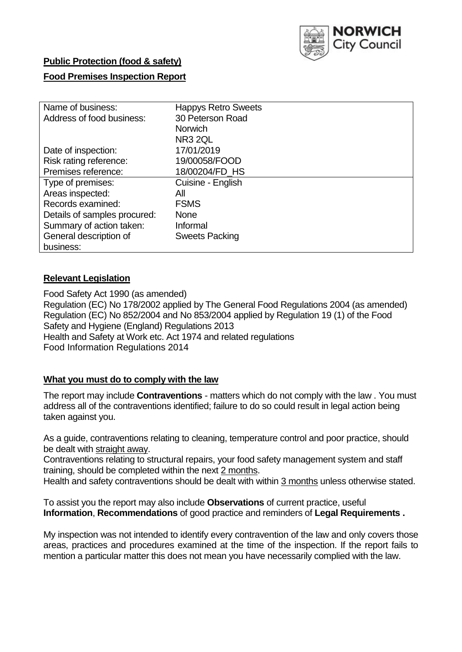

# **Public Protection (food & safety)**

## **Food Premises Inspection Report**

| Name of business:            | <b>Happys Retro Sweets</b> |
|------------------------------|----------------------------|
| Address of food business:    | 30 Peterson Road           |
|                              | <b>Norwich</b>             |
|                              | NR <sub>3</sub> 2QL        |
| Date of inspection:          | 17/01/2019                 |
| Risk rating reference:       | 19/00058/FOOD              |
| Premises reference:          | 18/00204/FD HS             |
| Type of premises:            | Cuisine - English          |
| Areas inspected:             | All                        |
| Records examined:            | <b>FSMS</b>                |
| Details of samples procured: | <b>None</b>                |
| Summary of action taken:     | Informal                   |
| General description of       | <b>Sweets Packing</b>      |
| business:                    |                            |

#### **Relevant Legislation**

Food Safety Act 1990 (as amended) Regulation (EC) No 178/2002 applied by The General Food Regulations 2004 (as amended) Regulation (EC) No 852/2004 and No 853/2004 applied by Regulation 19 (1) of the Food Safety and Hygiene (England) Regulations 2013 Health and Safety at Work etc. Act 1974 and related regulations Food Information Regulations 2014

## **What you must do to comply with the law**

The report may include **Contraventions** - matters which do not comply with the law . You must address all of the contraventions identified; failure to do so could result in legal action being taken against you.

As a guide, contraventions relating to cleaning, temperature control and poor practice, should be dealt with straight away.

Contraventions relating to structural repairs, your food safety management system and staff training, should be completed within the next 2 months.

Health and safety contraventions should be dealt with within 3 months unless otherwise stated.

To assist you the report may also include **Observations** of current practice, useful **Information**, **Recommendations** of good practice and reminders of **Legal Requirements .**

My inspection was not intended to identify every contravention of the law and only covers those areas, practices and procedures examined at the time of the inspection. If the report fails to mention a particular matter this does not mean you have necessarily complied with the law.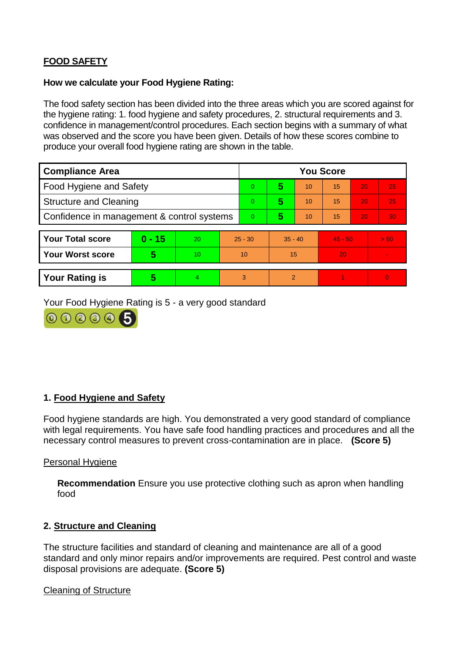# **FOOD SAFETY**

#### **How we calculate your Food Hygiene Rating:**

The food safety section has been divided into the three areas which you are scored against for the hygiene rating: 1. food hygiene and safety procedures, 2. structural requirements and 3. confidence in management/control procedures. Each section begins with a summary of what was observed and the score you have been given. Details of how these scores combine to produce your overall food hygiene rating are shown in the table.

| <b>Compliance Area</b>                     |          |                  |           | <b>You Score</b> |               |    |           |    |          |  |  |
|--------------------------------------------|----------|------------------|-----------|------------------|---------------|----|-----------|----|----------|--|--|
| Food Hygiene and Safety                    |          |                  |           | 0                | 5             | 10 | 15        | 20 | 25       |  |  |
| <b>Structure and Cleaning</b>              |          |                  |           | $\Omega$         | 5             | 10 | 15        | 20 | 25       |  |  |
| Confidence in management & control systems |          |                  |           | $\Omega$         | 5             | 10 | 15        | 20 | 30       |  |  |
|                                            |          |                  |           |                  |               |    |           |    |          |  |  |
| <b>Your Total score</b>                    | $0 - 15$ | 20               | $25 - 30$ |                  | $35 - 40$     |    | $45 - 50$ |    | > 50     |  |  |
| <b>Your Worst score</b>                    | 5        | 10 <sup>10</sup> | 10        |                  | 15            |    | 20        |    |          |  |  |
|                                            |          |                  |           |                  |               |    |           |    |          |  |  |
| <b>Your Rating is</b>                      | 5        | 4                |           | 3                | $\mathcal{P}$ |    |           |    | $\Omega$ |  |  |

Your Food Hygiene Rating is 5 - a very good standard



#### **1. Food Hygiene and Safety**

Food hygiene standards are high. You demonstrated a very good standard of compliance with legal requirements. You have safe food handling practices and procedures and all the necessary control measures to prevent cross-contamination are in place. **(Score 5)**

Personal Hygiene

**Recommendation** Ensure you use protective clothing such as apron when handling food

#### **2. Structure and Cleaning**

The structure facilities and standard of cleaning and maintenance are all of a good standard and only minor repairs and/or improvements are required. Pest control and waste disposal provisions are adequate. **(Score 5)**

Cleaning of Structure